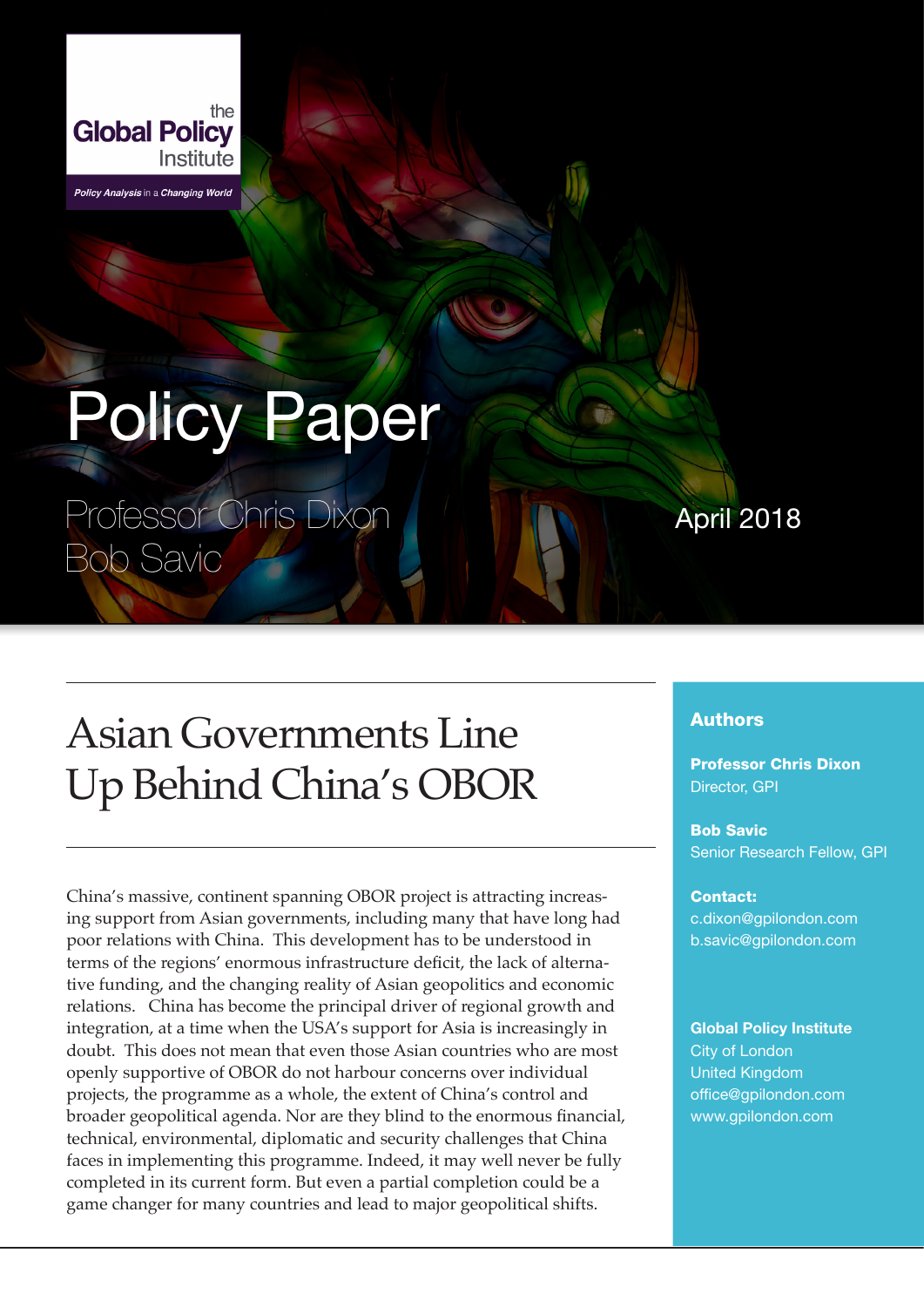

Policy Analysis in a Changing World

# Policy Paper

Professor Chris Dixon Bob Savic

## Asian Governments Line Up Behind China's OBOR

China's massive, continent spanning OBOR project is attracting increasing support from Asian governments, including many that have long had poor relations with China. This development has to be understood in terms of the regions' enormous infrastructure deficit, the lack of alternative funding, and the changing reality of Asian geopolitics and economic relations. China has become the principal driver of regional growth and integration, at a time when the USA's support for Asia is increasingly in doubt. This does not mean that even those Asian countries who are most openly supportive of OBOR do not harbour concerns over individual projects, the programme as a whole, the extent of China's control and broader geopolitical agenda. Nor are they blind to the enormous financial, technical, environmental, diplomatic and security challenges that China faces in implementing this programme. Indeed, it may well never be fully completed in its current form. But even a partial completion could be a game changer for many countries and lead to major geopolitical shifts.

#### Authors

April 2018

Professor Chris Dixon Director, GPI

Bob Savic Senior Research Fellow, GPI

#### Contact:

c.dixon@gpilondon.com b.savic@gpilondon.com

#### Global Policy Institute

City of London United Kingdom office@gpilondon.com www.gpilondon.com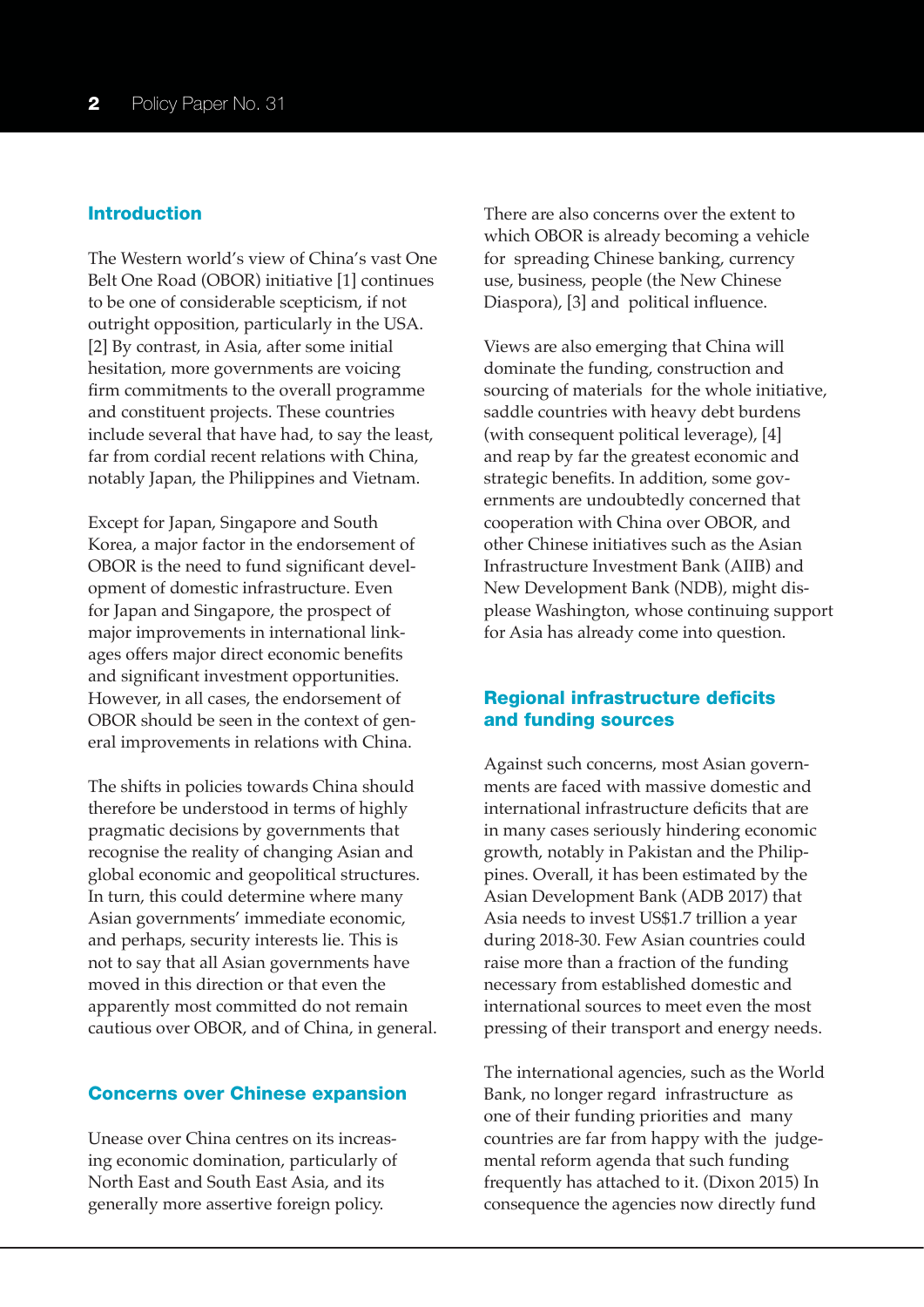#### Introduction

The Western world's view of China's vast One Belt One Road (OBOR) initiative [1] continues to be one of considerable scepticism, if not outright opposition, particularly in the USA. [2] By contrast, in Asia, after some initial hesitation, more governments are voicing firm commitments to the overall programme and constituent projects. These countries include several that have had, to say the least, far from cordial recent relations with China, notably Japan, the Philippines and Vietnam.

Except for Japan, Singapore and South Korea, a major factor in the endorsement of OBOR is the need to fund significant development of domestic infrastructure. Even for Japan and Singapore, the prospect of major improvements in international linkages offers major direct economic benefits and significant investment opportunities. However, in all cases, the endorsement of OBOR should be seen in the context of general improvements in relations with China.

The shifts in policies towards China should therefore be understood in terms of highly pragmatic decisions by governments that recognise the reality of changing Asian and global economic and geopolitical structures. In turn, this could determine where many Asian governments' immediate economic, and perhaps, security interests lie. This is not to say that all Asian governments have moved in this direction or that even the apparently most committed do not remain cautious over OBOR, and of China, in general.

#### Concerns over Chinese expansion

Unease over China centres on its increasing economic domination, particularly of North East and South East Asia, and its generally more assertive foreign policy.

There are also concerns over the extent to which OBOR is already becoming a vehicle for spreading Chinese banking, currency use, business, people (the New Chinese Diaspora), [3] and political influence.

Views are also emerging that China will dominate the funding, construction and sourcing of materials for the whole initiative, saddle countries with heavy debt burdens (with consequent political leverage), [4] and reap by far the greatest economic and strategic benefits. In addition, some governments are undoubtedly concerned that cooperation with China over OBOR, and other Chinese initiatives such as the Asian Infrastructure Investment Bank (AIIB) and New Development Bank (NDB), might displease Washington, whose continuing support for Asia has already come into question.

#### Regional infrastructure deficits and funding sources

Against such concerns, most Asian governments are faced with massive domestic and international infrastructure deficits that are in many cases seriously hindering economic growth, notably in Pakistan and the Philippines. Overall, it has been estimated by the Asian Development Bank (ADB 2017) that Asia needs to invest US\$1.7 trillion a year during 2018-30. Few Asian countries could raise more than a fraction of the funding necessary from established domestic and international sources to meet even the most pressing of their transport and energy needs.

The international agencies, such as the World Bank, no longer regard infrastructure as one of their funding priorities and many countries are far from happy with the judgemental reform agenda that such funding frequently has attached to it. (Dixon 2015) In consequence the agencies now directly fund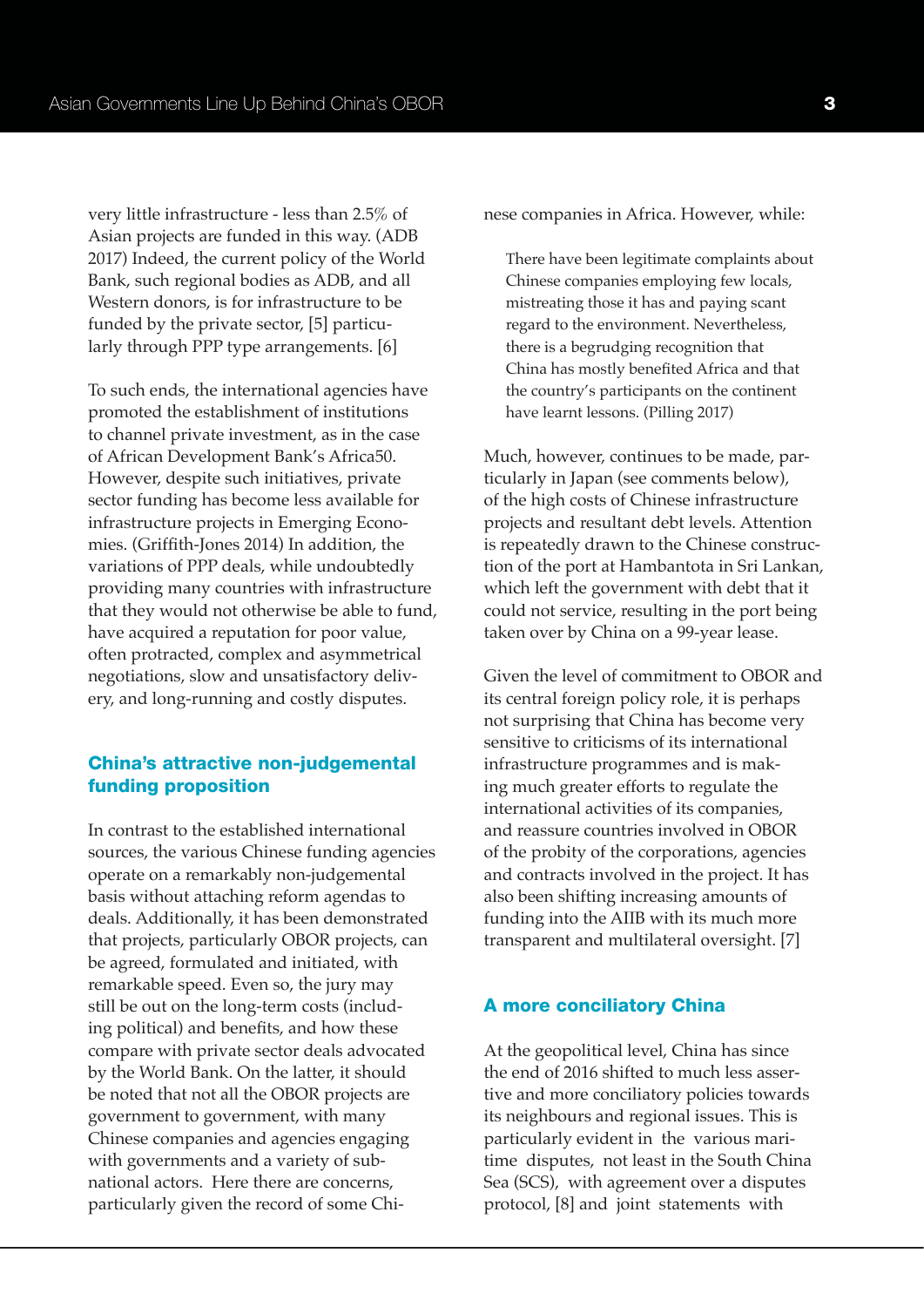very little infrastructure - less than 2.5% of Asian projects are funded in this way. (ADB 2017) Indeed, the current policy of the World Bank, such regional bodies as ADB, and all Western donors, is for infrastructure to be funded by the private sector, [5] particularly through PPP type arrangements. [6]

To such ends, the international agencies have promoted the establishment of institutions to channel private investment, as in the case of African Development Bank's Africa50. However, despite such initiatives, private sector funding has become less available for infrastructure projects in Emerging Economies. (Griffith-Jones 2014) In addition, the variations of PPP deals, while undoubtedly providing many countries with infrastructure that they would not otherwise be able to fund, have acquired a reputation for poor value, often protracted, complex and asymmetrical negotiations, slow and unsatisfactory delivery, and long-running and costly disputes.

#### China's attractive non-judgemental funding proposition

In contrast to the established international sources, the various Chinese funding agencies operate on a remarkably non-judgemental basis without attaching reform agendas to deals. Additionally, it has been demonstrated that projects, particularly OBOR projects, can be agreed, formulated and initiated, with remarkable speed. Even so, the jury may still be out on the long-term costs (including political) and benefits, and how these compare with private sector deals advocated by the World Bank. On the latter, it should be noted that not all the OBOR projects are government to government, with many Chinese companies and agencies engaging with governments and a variety of subnational actors. Here there are concerns, particularly given the record of some Chinese companies in Africa. However, while:

There have been legitimate complaints about Chinese companies employing few locals, mistreating those it has and paying scant regard to the environment. Nevertheless, there is a begrudging recognition that China has mostly benefited Africa and that the country's participants on the continent have learnt lessons. (Pilling 2017)

Much, however, continues to be made, particularly in Japan (see comments below), of the high costs of Chinese infrastructure projects and resultant debt levels. Attention is repeatedly drawn to the Chinese construction of the port at Hambantota in Sri Lankan, which left the government with debt that it could not service, resulting in the port being taken over by China on a 99-year lease.

Given the level of commitment to OBOR and its central foreign policy role, it is perhaps not surprising that China has become very sensitive to criticisms of its international infrastructure programmes and is making much greater efforts to regulate the international activities of its companies, and reassure countries involved in OBOR of the probity of the corporations, agencies and contracts involved in the project. It has also been shifting increasing amounts of funding into the AIIB with its much more transparent and multilateral oversight. [7]

#### A more conciliatory China

At the geopolitical level, China has since the end of 2016 shifted to much less assertive and more conciliatory policies towards its neighbours and regional issues. This is particularly evident in the various maritime disputes, not least in the South China Sea (SCS), with agreement over a disputes protocol, [8] and joint statements with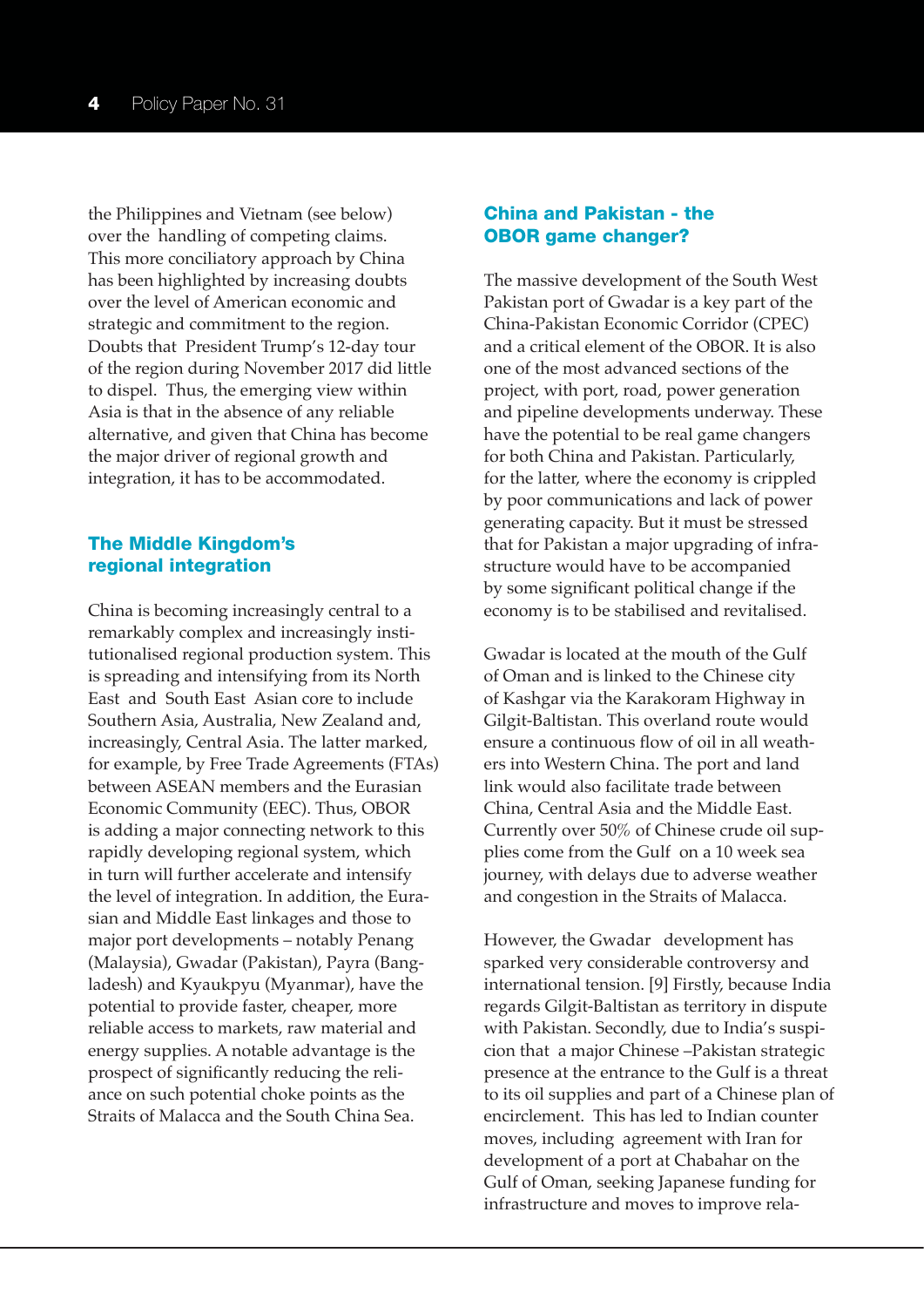the Philippines and Vietnam (see below) over the handling of competing claims. This more conciliatory approach by China has been highlighted by increasing doubts over the level of American economic and strategic and commitment to the region. Doubts that President Trump's 12-day tour of the region during November 2017 did little to dispel. Thus, the emerging view within Asia is that in the absence of any reliable alternative, and given that China has become the major driver of regional growth and integration, it has to be accommodated.

#### The Middle Kingdom's regional integration

China is becoming increasingly central to a remarkably complex and increasingly institutionalised regional production system. This is spreading and intensifying from its North East and South East Asian core to include Southern Asia, Australia, New Zealand and, increasingly, Central Asia. The latter marked, for example, by Free Trade Agreements (FTAs) between ASEAN members and the Eurasian Economic Community (EEC). Thus, OBOR is adding a major connecting network to this rapidly developing regional system, which in turn will further accelerate and intensify the level of integration. In addition, the Eurasian and Middle East linkages and those to major port developments – notably Penang (Malaysia), Gwadar (Pakistan), Payra (Bangladesh) and Kyaukpyu (Myanmar), have the potential to provide faster, cheaper, more reliable access to markets, raw material and energy supplies. A notable advantage is the prospect of significantly reducing the reliance on such potential choke points as the Straits of Malacca and the South China Sea.

#### China and Pakistan - the OBOR game changer?

The massive development of the South West Pakistan port of Gwadar is a key part of the China-Pakistan Economic Corridor (CPEC) and a critical element of the OBOR. It is also one of the most advanced sections of the project, with port, road, power generation and pipeline developments underway. These have the potential to be real game changers for both China and Pakistan. Particularly, for the latter, where the economy is crippled by poor communications and lack of power generating capacity. But it must be stressed that for Pakistan a major upgrading of infrastructure would have to be accompanied by some significant political change if the economy is to be stabilised and revitalised.

Gwadar is located at the mouth of the Gulf of Oman and is linked to the Chinese city of Kashgar via the Karakoram Highway in Gilgit-Baltistan. This overland route would ensure a continuous flow of oil in all weathers into Western China. The port and land link would also facilitate trade between China, Central Asia and the Middle East. Currently over 50% of Chinese crude oil supplies come from the Gulf on a 10 week sea journey, with delays due to adverse weather and congestion in the Straits of Malacca.

However, the Gwadar development has sparked very considerable controversy and international tension. [9] Firstly, because India regards Gilgit-Baltistan as territory in dispute with Pakistan. Secondly, due to India's suspicion that a major Chinese –Pakistan strategic presence at the entrance to the Gulf is a threat to its oil supplies and part of a Chinese plan of encirclement. This has led to Indian counter moves, including agreement with Iran for development of a port at Chabahar on the Gulf of Oman, seeking Japanese funding for infrastructure and moves to improve rela-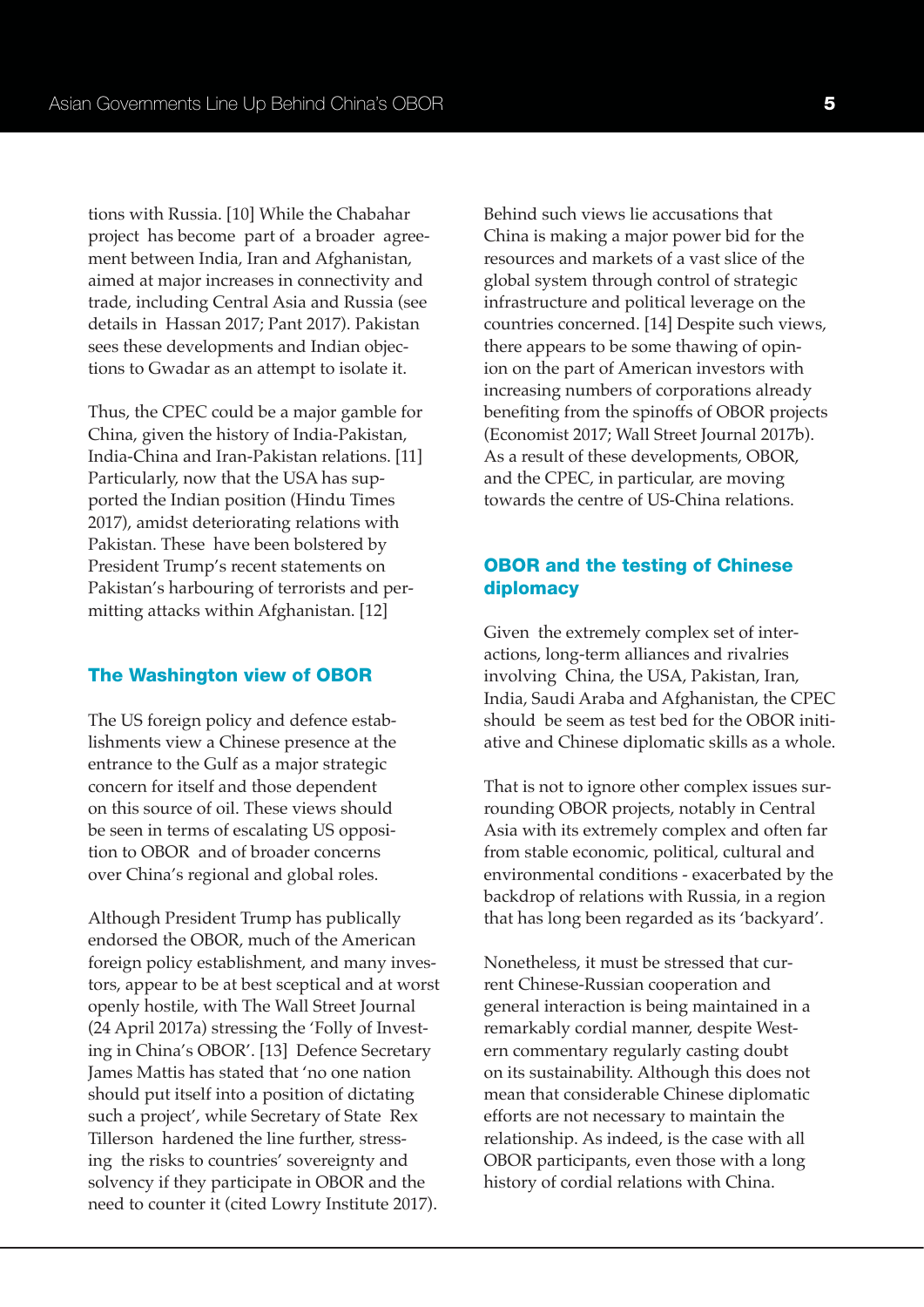tions with Russia. [10] While the Chabahar project has become part of a broader agreement between India, Iran and Afghanistan, aimed at major increases in connectivity and trade, including Central Asia and Russia (see details in Hassan 2017; Pant 2017). Pakistan sees these developments and Indian objections to Gwadar as an attempt to isolate it.

Thus, the CPEC could be a major gamble for China, given the history of India-Pakistan, India-China and Iran-Pakistan relations. [11] Particularly, now that the USA has supported the Indian position (Hindu Times 2017), amidst deteriorating relations with Pakistan. These have been bolstered by President Trump's recent statements on Pakistan's harbouring of terrorists and permitting attacks within Afghanistan. [12]

#### The Washington view of OBOR

The US foreign policy and defence establishments view a Chinese presence at the entrance to the Gulf as a major strategic concern for itself and those dependent on this source of oil. These views should be seen in terms of escalating US opposition to OBOR and of broader concerns over China's regional and global roles.

Although President Trump has publically endorsed the OBOR, much of the American foreign policy establishment, and many investors, appear to be at best sceptical and at worst openly hostile, with The Wall Street Journal (24 April 2017a) stressing the 'Folly of Investing in China's OBOR'. [13] Defence Secretary James Mattis has stated that 'no one nation should put itself into a position of dictating such a project', while Secretary of State Rex Tillerson hardened the line further, stressing the risks to countries' sovereignty and solvency if they participate in OBOR and the need to counter it (cited Lowry Institute 2017).

Behind such views lie accusations that China is making a major power bid for the resources and markets of a vast slice of the global system through control of strategic infrastructure and political leverage on the countries concerned. [14] Despite such views, there appears to be some thawing of opinion on the part of American investors with increasing numbers of corporations already benefiting from the spinoffs of OBOR projects (Economist 2017; Wall Street Journal 2017b). As a result of these developments, OBOR, and the CPEC, in particular, are moving towards the centre of US-China relations.

#### OBOR and the testing of Chinese diplomacy

Given the extremely complex set of interactions, long-term alliances and rivalries involving China, the USA, Pakistan, Iran, India, Saudi Araba and Afghanistan, the CPEC should be seem as test bed for the OBOR initiative and Chinese diplomatic skills as a whole.

That is not to ignore other complex issues surrounding OBOR projects, notably in Central Asia with its extremely complex and often far from stable economic, political, cultural and environmental conditions - exacerbated by the backdrop of relations with Russia, in a region that has long been regarded as its 'backyard'.

Nonetheless, it must be stressed that current Chinese-Russian cooperation and general interaction is being maintained in a remarkably cordial manner, despite Western commentary regularly casting doubt on its sustainability. Although this does not mean that considerable Chinese diplomatic efforts are not necessary to maintain the relationship. As indeed, is the case with all OBOR participants, even those with a long history of cordial relations with China.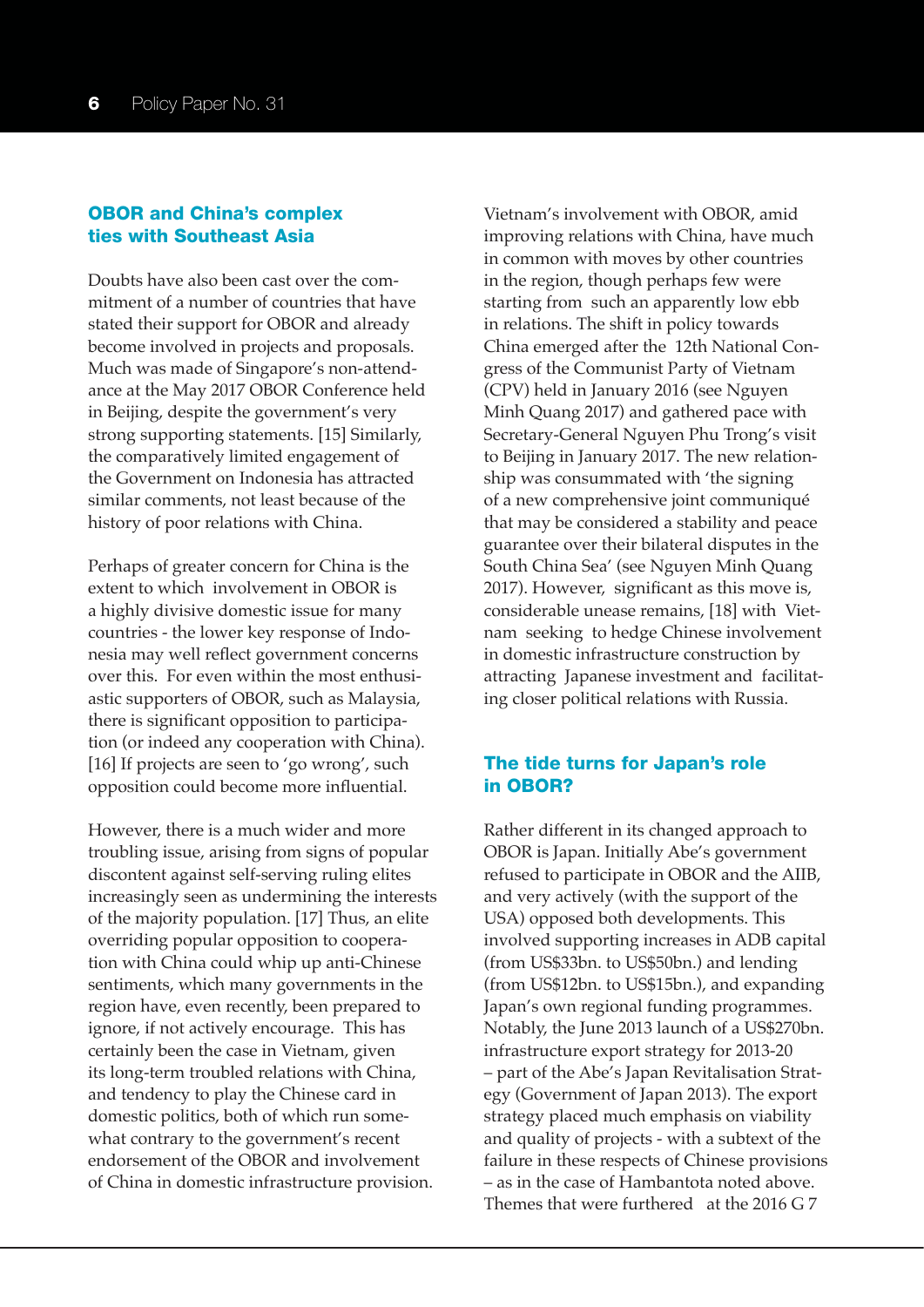#### OBOR and China's complex ties with Southeast Asia

Doubts have also been cast over the commitment of a number of countries that have stated their support for OBOR and already become involved in projects and proposals. Much was made of Singapore's non-attendance at the May 2017 OBOR Conference held in Beijing, despite the government's very strong supporting statements. [15] Similarly, the comparatively limited engagement of the Government on Indonesia has attracted similar comments, not least because of the history of poor relations with China.

Perhaps of greater concern for China is the extent to which involvement in OBOR is a highly divisive domestic issue for many countries - the lower key response of Indonesia may well reflect government concerns over this. For even within the most enthusiastic supporters of OBOR, such as Malaysia, there is significant opposition to participation (or indeed any cooperation with China). [16] If projects are seen to 'go wrong', such opposition could become more influential.

However, there is a much wider and more troubling issue, arising from signs of popular discontent against self-serving ruling elites increasingly seen as undermining the interests of the majority population. [17] Thus, an elite overriding popular opposition to cooperation with China could whip up anti-Chinese sentiments, which many governments in the region have, even recently, been prepared to ignore, if not actively encourage. This has certainly been the case in Vietnam, given its long-term troubled relations with China, and tendency to play the Chinese card in domestic politics, both of which run somewhat contrary to the government's recent endorsement of the OBOR and involvement of China in domestic infrastructure provision.

Vietnam's involvement with OBOR, amid improving relations with China, have much in common with moves by other countries in the region, though perhaps few were starting from such an apparently low ebb in relations. The shift in policy towards China emerged after the 12th National Congress of the Communist Party of Vietnam (CPV) held in January 2016 (see Nguyen Minh Quang 2017) and gathered pace with Secretary-General Nguyen Phu Trong's visit to Beijing in January 2017. The new relationship was consummated with 'the signing of a new comprehensive joint communiqué that may be considered a stability and peace guarantee over their bilateral disputes in the South China Sea' (see Nguyen Minh Quang 2017). However, significant as this move is, considerable unease remains, [18] with Vietnam seeking to hedge Chinese involvement in domestic infrastructure construction by attracting Japanese investment and facilitating closer political relations with Russia.

#### The tide turns for Japan's role in OBOR?

Rather different in its changed approach to OBOR is Japan. Initially Abe's government refused to participate in OBOR and the AIIB, and very actively (with the support of the USA) opposed both developments. This involved supporting increases in ADB capital (from US\$33bn. to US\$50bn.) and lending (from US\$12bn. to US\$15bn.), and expanding Japan's own regional funding programmes. Notably, the June 2013 launch of a US\$270bn. infrastructure export strategy for 2013-20 – part of the Abe's Japan Revitalisation Strategy (Government of Japan 2013). The export strategy placed much emphasis on viability and quality of projects - with a subtext of the failure in these respects of Chinese provisions – as in the case of Hambantota noted above. Themes that were furthered at the 2016 G 7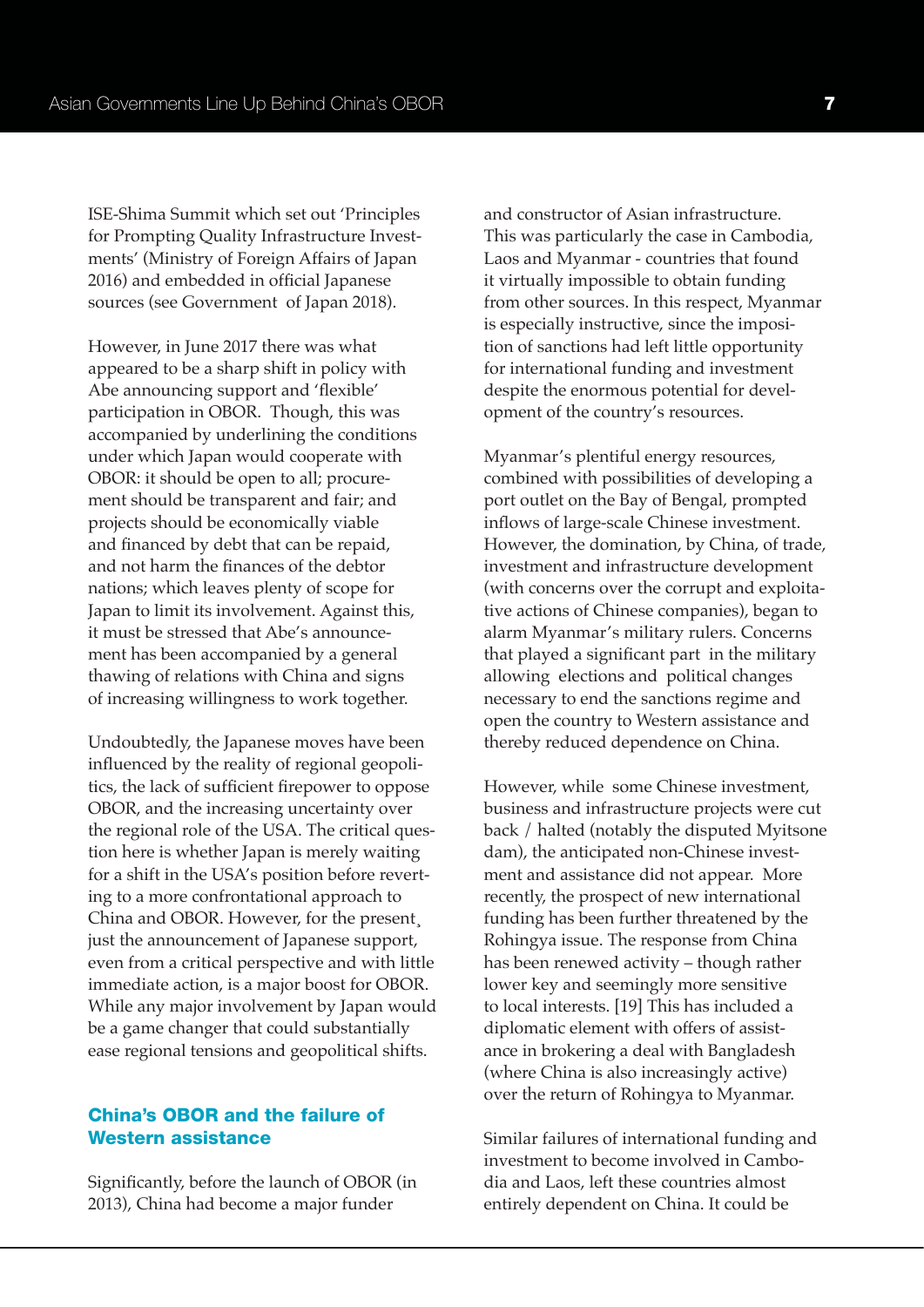ISE-Shima Summit which set out 'Principles for Prompting Quality Infrastructure Investments' (Ministry of Foreign Affairs of Japan 2016) and embedded in official Japanese sources (see Government of Japan 2018).

However, in June 2017 there was what appeared to be a sharp shift in policy with Abe announcing support and 'flexible' participation in OBOR. Though, this was accompanied by underlining the conditions under which Japan would cooperate with OBOR: it should be open to all; procurement should be transparent and fair; and projects should be economically viable and financed by debt that can be repaid, and not harm the finances of the debtor nations; which leaves plenty of scope for Japan to limit its involvement. Against this, it must be stressed that Abe's announcement has been accompanied by a general thawing of relations with China and signs of increasing willingness to work together.

Undoubtedly, the Japanese moves have been influenced by the reality of regional geopolitics, the lack of sufficient firepower to oppose OBOR, and the increasing uncertainty over the regional role of the USA. The critical question here is whether Japan is merely waiting for a shift in the USA's position before reverting to a more confrontational approach to China and OBOR. However, for the present¸ just the announcement of Japanese support, even from a critical perspective and with little immediate action, is a major boost for OBOR. While any major involvement by Japan would be a game changer that could substantially ease regional tensions and geopolitical shifts.

#### China's OBOR and the failure of Western assistance

Significantly, before the launch of OBOR (in 2013), China had become a major funder

and constructor of Asian infrastructure. This was particularly the case in Cambodia, Laos and Myanmar - countries that found it virtually impossible to obtain funding from other sources. In this respect, Myanmar is especially instructive, since the imposition of sanctions had left little opportunity for international funding and investment despite the enormous potential for development of the country's resources.

Myanmar's plentiful energy resources, combined with possibilities of developing a port outlet on the Bay of Bengal, prompted inflows of large-scale Chinese investment. However, the domination, by China, of trade, investment and infrastructure development (with concerns over the corrupt and exploitative actions of Chinese companies), began to alarm Myanmar's military rulers. Concerns that played a significant part in the military allowing elections and political changes necessary to end the sanctions regime and open the country to Western assistance and thereby reduced dependence on China.

However, while some Chinese investment, business and infrastructure projects were cut back / halted (notably the disputed Myitsone dam), the anticipated non-Chinese investment and assistance did not appear. More recently, the prospect of new international funding has been further threatened by the Rohingya issue. The response from China has been renewed activity – though rather lower key and seemingly more sensitive to local interests. [19] This has included a diplomatic element with offers of assistance in brokering a deal with Bangladesh (where China is also increasingly active) over the return of Rohingya to Myanmar.

Similar failures of international funding and investment to become involved in Cambodia and Laos, left these countries almost entirely dependent on China. It could be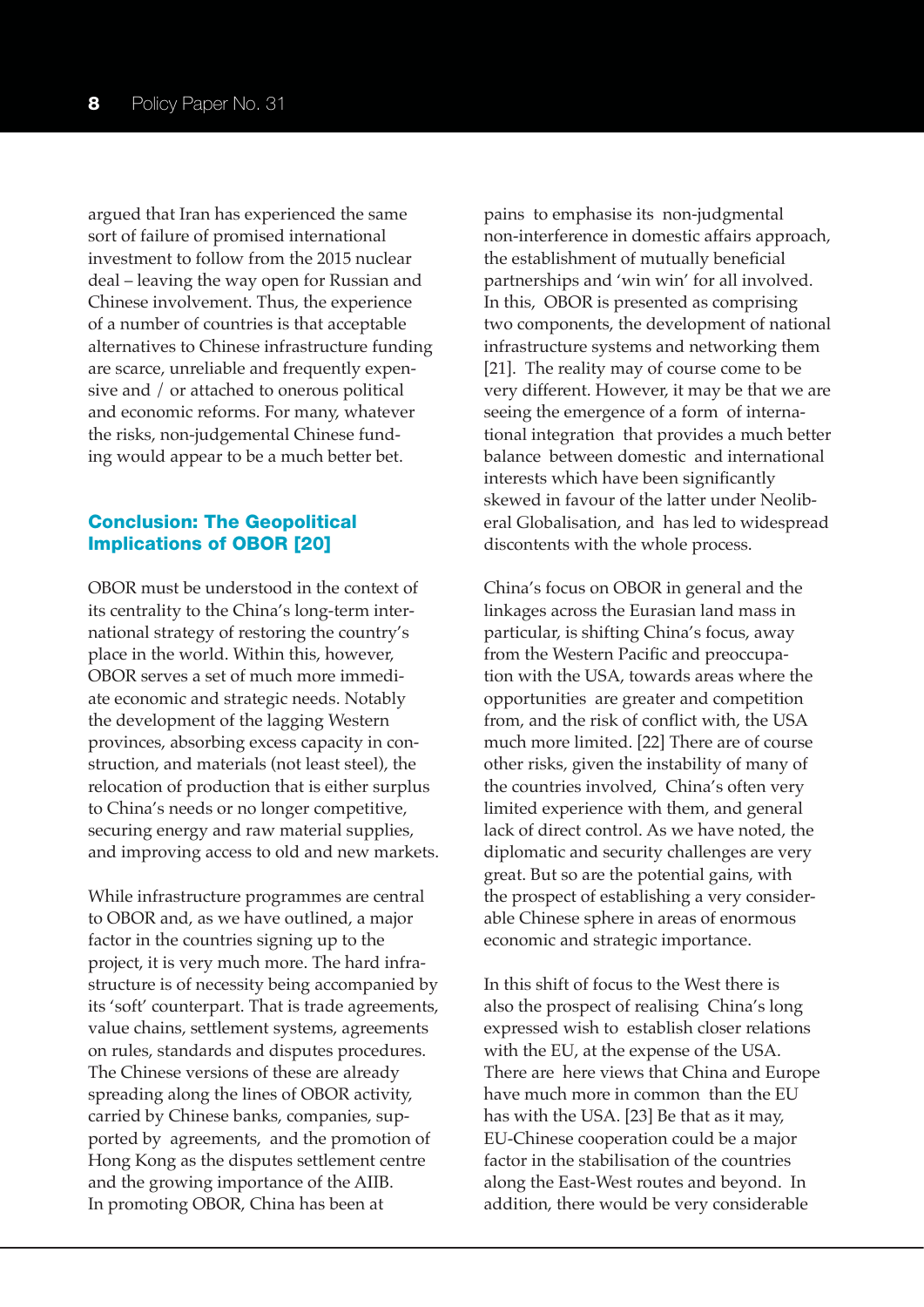argued that Iran has experienced the same sort of failure of promised international investment to follow from the 2015 nuclear deal – leaving the way open for Russian and Chinese involvement. Thus, the experience of a number of countries is that acceptable alternatives to Chinese infrastructure funding are scarce, unreliable and frequently expensive and / or attached to onerous political and economic reforms. For many, whatever the risks, non-judgemental Chinese funding would appear to be a much better bet.

#### Conclusion: The Geopolitical Implications of OBOR [20]

OBOR must be understood in the context of its centrality to the China's long-term international strategy of restoring the country's place in the world. Within this, however, OBOR serves a set of much more immediate economic and strategic needs. Notably the development of the lagging Western provinces, absorbing excess capacity in construction, and materials (not least steel), the relocation of production that is either surplus to China's needs or no longer competitive, securing energy and raw material supplies, and improving access to old and new markets.

While infrastructure programmes are central to OBOR and, as we have outlined, a major factor in the countries signing up to the project, it is very much more. The hard infrastructure is of necessity being accompanied by its 'soft' counterpart. That is trade agreements, value chains, settlement systems, agreements on rules, standards and disputes procedures. The Chinese versions of these are already spreading along the lines of OBOR activity, carried by Chinese banks, companies, supported by agreements, and the promotion of Hong Kong as the disputes settlement centre and the growing importance of the AIIB. In promoting OBOR, China has been at

pains to emphasise its non-judgmental non-interference in domestic affairs approach, the establishment of mutually beneficial partnerships and 'win win' for all involved. In this, OBOR is presented as comprising two components, the development of national infrastructure systems and networking them [21]. The reality may of course come to be very different. However, it may be that we are seeing the emergence of a form of international integration that provides a much better balance between domestic and international interests which have been significantly skewed in favour of the latter under Neoliberal Globalisation, and has led to widespread discontents with the whole process.

China's focus on OBOR in general and the linkages across the Eurasian land mass in particular, is shifting China's focus, away from the Western Pacific and preoccupation with the USA, towards areas where the opportunities are greater and competition from, and the risk of conflict with, the USA much more limited. [22] There are of course other risks, given the instability of many of the countries involved, China's often very limited experience with them, and general lack of direct control. As we have noted, the diplomatic and security challenges are very great. But so are the potential gains, with the prospect of establishing a very considerable Chinese sphere in areas of enormous economic and strategic importance.

In this shift of focus to the West there is also the prospect of realising China's long expressed wish to establish closer relations with the EU, at the expense of the USA. There are here views that China and Europe have much more in common than the EU has with the USA. [23] Be that as it may, EU-Chinese cooperation could be a major factor in the stabilisation of the countries along the East-West routes and beyond. In addition, there would be very considerable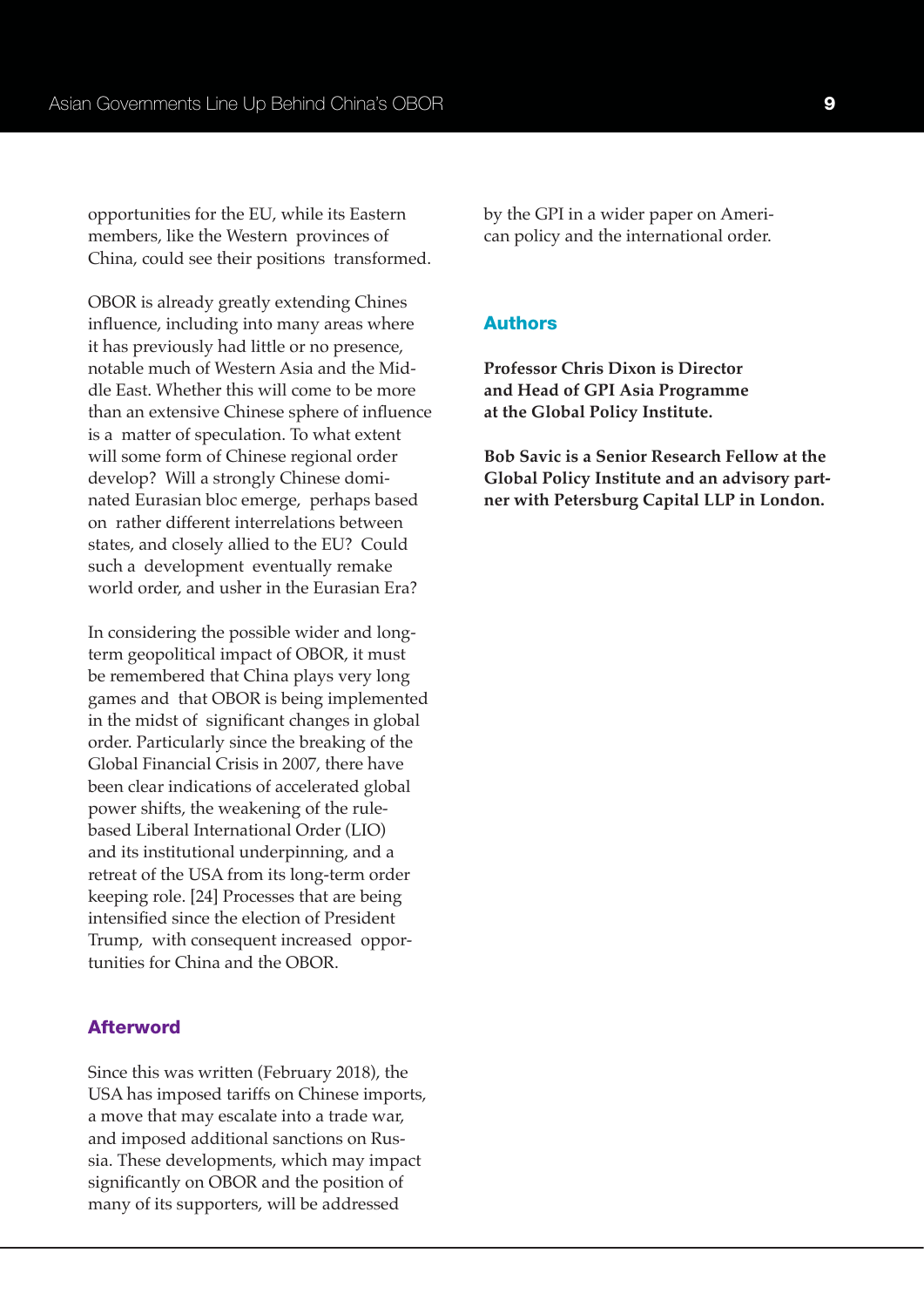opportunities for the EU, while its Eastern members, like the Western provinces of China, could see their positions transformed.

OBOR is already greatly extending Chines influence, including into many areas where it has previously had little or no presence, notable much of Western Asia and the Middle East. Whether this will come to be more than an extensive Chinese sphere of influence is a matter of speculation. To what extent will some form of Chinese regional order develop? Will a strongly Chinese dominated Eurasian bloc emerge, perhaps based on rather different interrelations between states, and closely allied to the EU? Could such a development eventually remake world order, and usher in the Eurasian Era?

In considering the possible wider and longterm geopolitical impact of OBOR, it must be remembered that China plays very long games and that OBOR is being implemented in the midst of significant changes in global order. Particularly since the breaking of the Global Financial Crisis in 2007, there have been clear indications of accelerated global power shifts, the weakening of the rulebased Liberal International Order (LIO) and its institutional underpinning, and a retreat of the USA from its long-term order keeping role. [24] Processes that are being intensified since the election of President Trump, with consequent increased opportunities for China and the OBOR.

#### Afterword

Since this was written (February 2018), the USA has imposed tariffs on Chinese imports, a move that may escalate into a trade war, and imposed additional sanctions on Russia. These developments, which may impact significantly on OBOR and the position of many of its supporters, will be addressed

by the GPI in a wider paper on American policy and the international order.

#### Authors

**Professor Chris Dixon is Director and Head of GPI Asia Programme at the Global Policy Institute.**

**Bob Savic is a Senior Research Fellow at the Global Policy Institute and an advisory partner with Petersburg Capital LLP in London.**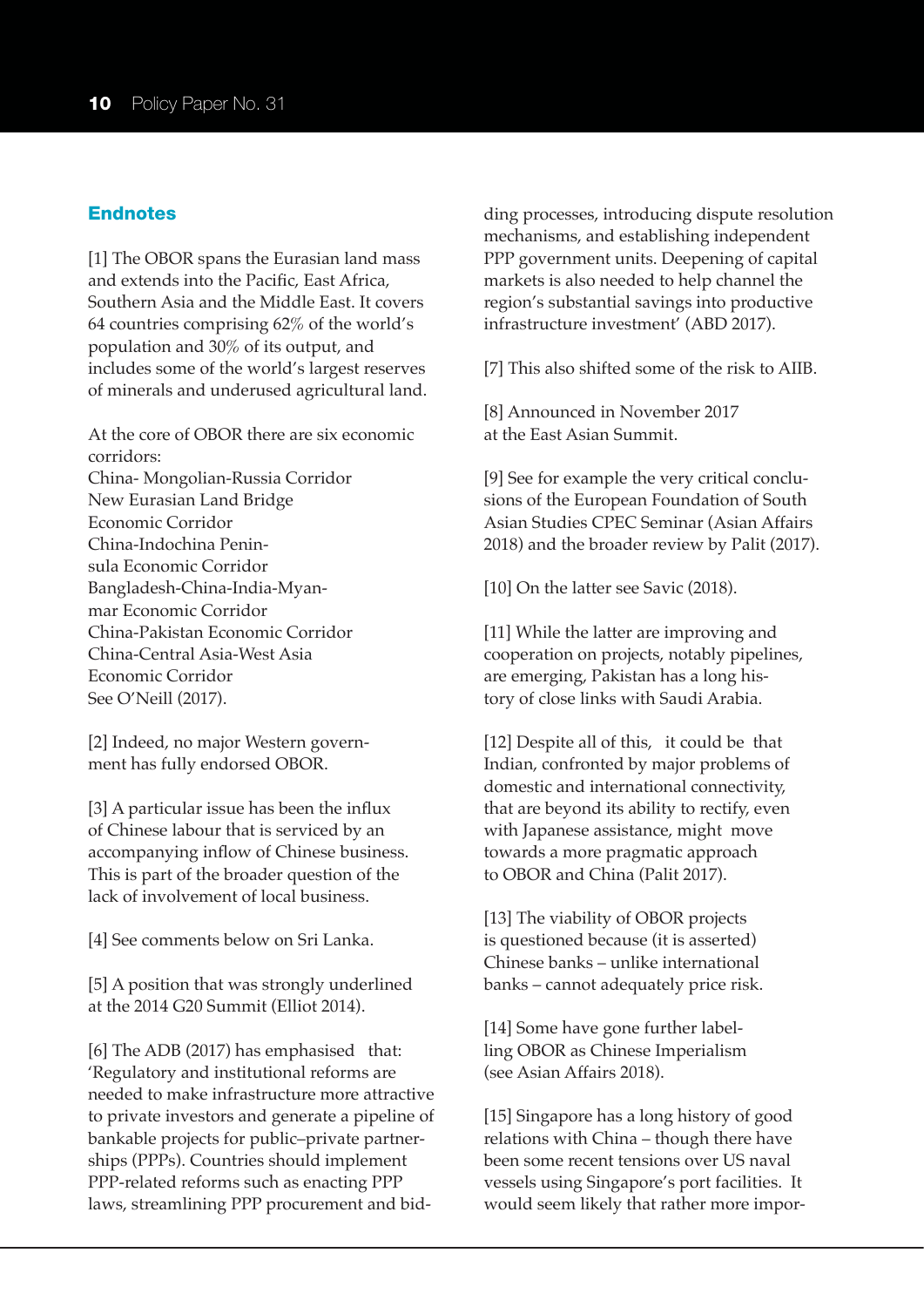#### Endnotes

[1] The OBOR spans the Eurasian land mass and extends into the Pacific, East Africa, Southern Asia and the Middle East. It covers 64 countries comprising 62% of the world's population and 30% of its output, and includes some of the world's largest reserves of minerals and underused agricultural land.

At the core of OBOR there are six economic corridors: China- Mongolian-Russia Corridor New Eurasian Land Bridge Economic Corridor China-Indochina Peninsula Economic Corridor Bangladesh-China-India-Myanmar Economic Corridor China-Pakistan Economic Corridor China-Central Asia-West Asia Economic Corridor See O'Neill (2017).

[2] Indeed, no major Western government has fully endorsed OBOR.

[3] A particular issue has been the influx of Chinese labour that is serviced by an accompanying inflow of Chinese business. This is part of the broader question of the lack of involvement of local business.

[4] See comments below on Sri Lanka.

[5] A position that was strongly underlined at the 2014 G20 Summit (Elliot 2014).

[6] The ADB (2017) has emphasised that: 'Regulatory and institutional reforms are needed to make infrastructure more attractive to private investors and generate a pipeline of bankable projects for public–private partnerships (PPPs). Countries should implement PPP-related reforms such as enacting PPP laws, streamlining PPP procurement and bidding processes, introducing dispute resolution mechanisms, and establishing independent PPP government units. Deepening of capital markets is also needed to help channel the region's substantial savings into productive infrastructure investment' (ABD 2017).

[7] This also shifted some of the risk to AIIB.

[8] Announced in November 2017 at the East Asian Summit.

[9] See for example the very critical conclusions of the European Foundation of South Asian Studies CPEC Seminar (Asian Affairs 2018) and the broader review by Palit (2017).

[10] On the latter see Savic (2018).

[11] While the latter are improving and cooperation on projects, notably pipelines, are emerging, Pakistan has a long history of close links with Saudi Arabia.

[12] Despite all of this, it could be that Indian, confronted by major problems of domestic and international connectivity, that are beyond its ability to rectify, even with Japanese assistance, might move towards a more pragmatic approach to OBOR and China (Palit 2017).

[13] The viability of OBOR projects is questioned because (it is asserted) Chinese banks – unlike international banks – cannot adequately price risk.

[14] Some have gone further labelling OBOR as Chinese Imperialism (see Asian Affairs 2018).

[15] Singapore has a long history of good relations with China – though there have been some recent tensions over US naval vessels using Singapore's port facilities. It would seem likely that rather more impor-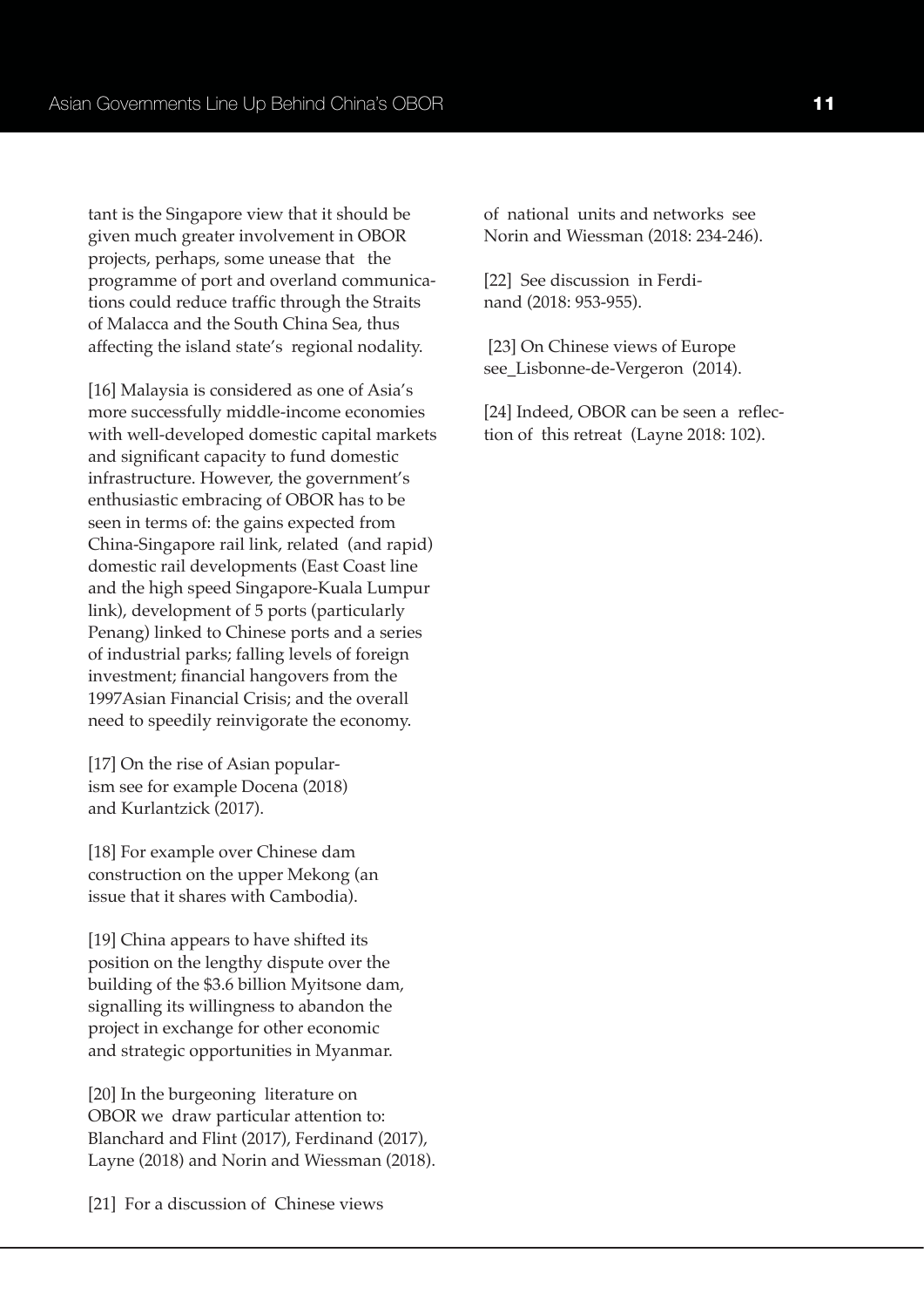tant is the Singapore view that it should be given much greater involvement in OBOR projects, perhaps, some unease that the programme of port and overland communications could reduce traffic through the Straits of Malacca and the South China Sea, thus affecting the island state's regional nodality.

[16] Malaysia is considered as one of Asia's more successfully middle-income economies with well-developed domestic capital markets and significant capacity to fund domestic infrastructure. However, the government's enthusiastic embracing of OBOR has to be seen in terms of: the gains expected from China-Singapore rail link, related (and rapid) domestic rail developments (East Coast line and the high speed Singapore-Kuala Lumpur link), development of 5 ports (particularly Penang) linked to Chinese ports and a series of industrial parks; falling levels of foreign investment; financial hangovers from the 1997Asian Financial Crisis; and the overall need to speedily reinvigorate the economy.

[17] On the rise of Asian popularism see for example Docena (2018) and Kurlantzick (2017).

[18] For example over Chinese dam construction on the upper Mekong (an issue that it shares with Cambodia).

[19] China appears to have shifted its position on the lengthy dispute over the building of the \$3.6 billion Myitsone dam, signalling its willingness to abandon the project in exchange for other economic and strategic opportunities in Myanmar.

[20] In the burgeoning literature on OBOR we draw particular attention to: Blanchard and Flint (2017), Ferdinand (2017), Layne (2018) and Norin and Wiessman (2018). [22] See discussion in Ferdinand (2018: 953-955).

 [23] On Chinese views of Europe see Lisbonne-de-Vergeron (2014).

[24] Indeed, OBOR can be seen a reflection of this retreat (Layne 2018: 102).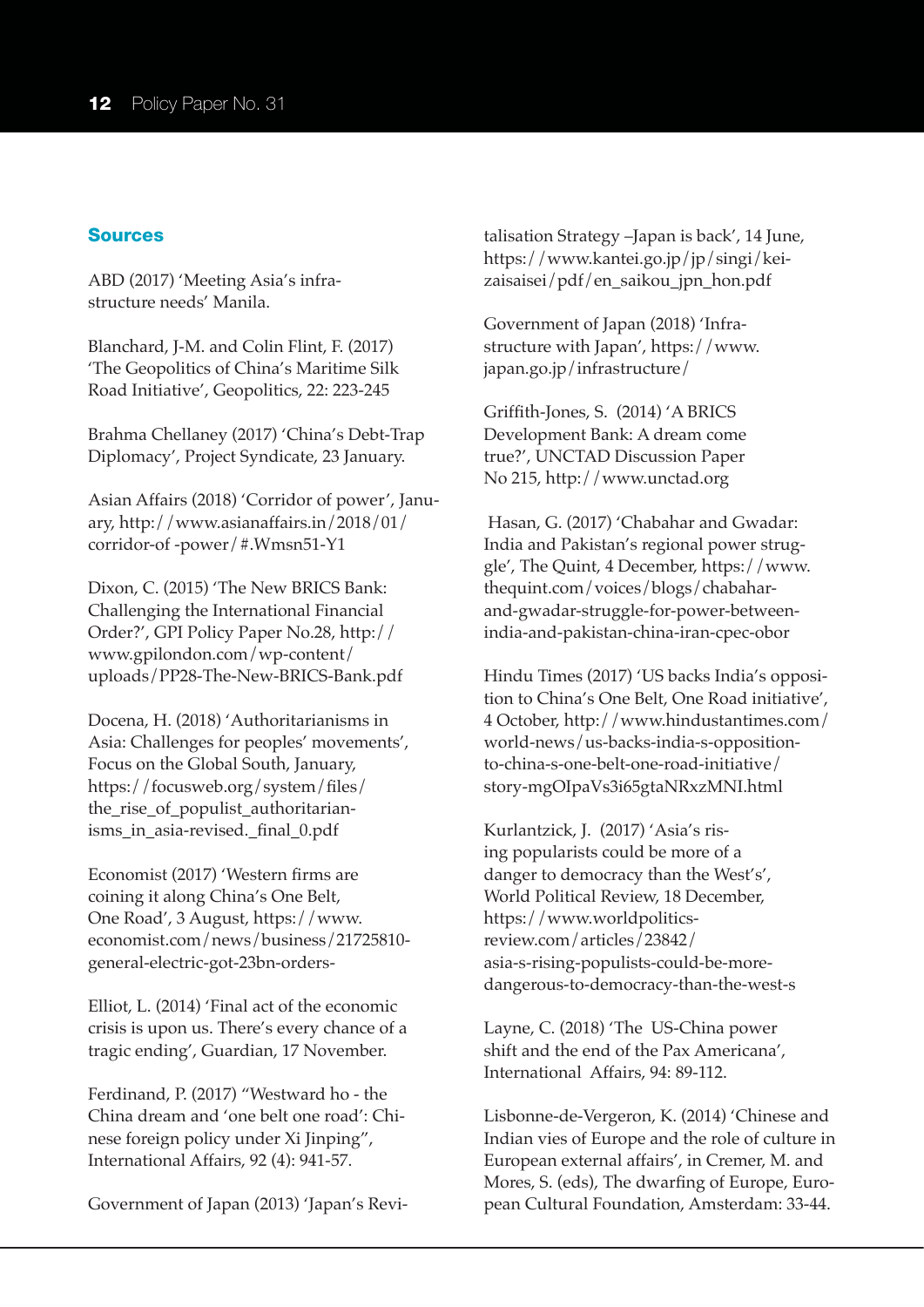#### **Sources**

ABD (2017) 'Meeting Asia's infrastructure needs' Manila.

Blanchard, J-M. and Colin Flint, F. (2017) 'The Geopolitics of China's Maritime Silk Road Initiative', Geopolitics, 22: 223-245

Brahma Chellaney (2017) 'China's Debt-Trap Diplomacy', Project Syndicate, 23 January.

Asian Affairs (2018) 'Corridor of power', January, http://www.asianaffairs.in/2018/01/ corridor-of -power/#.Wmsn51-Y1

Dixon, C. (2015) 'The New BRICS Bank: Challenging the International Financial Order?', GPI Policy Paper No.28, http:// www.gpilondon.com/wp-content/ uploads/PP28-The-New-BRICS-Bank.pdf

Docena, H. (2018) 'Authoritarianisms in Asia: Challenges for peoples' movements', Focus on the Global South, January, https://focusweb.org/system/files/ the\_rise\_of\_populist\_authoritarianisms\_in\_asia-revised.\_final\_0.pdf

Economist (2017) 'Western firms are coining it along China's One Belt, One Road', 3 August, https://www. economist.com/news/business/21725810 general-electric-got-23bn-orders-

Elliot, L. (2014) 'Final act of the economic crisis is upon us. There's every chance of a tragic ending', Guardian, 17 November.

Ferdinand, P. (2017) "Westward ho - the China dream and 'one belt one road': Chinese foreign policy under Xi Jinping", International Affairs, 92 (4): 941-57.

Government of Japan (2013) 'Japan's Revi-

talisation Strategy –Japan is back', 14 June, https://www.kantei.go.jp/jp/singi/keizaisaisei/pdf/en\_saikou\_jpn\_hon.pdf

Government of Japan (2018) 'Infrastructure with Japan', https://www. japan.go.jp/infrastructure/

Griffith-Jones, S. (2014) 'A BRICS Development Bank: A dream come true?', UNCTAD Discussion Paper No 215, http://www.unctad.org

 Hasan, G. (2017) 'Chabahar and Gwadar: India and Pakistan's regional power struggle', The Quint, 4 December, https://www. thequint.com/voices/blogs/chabaharand-gwadar-struggle-for-power-betweenindia-and-pakistan-china-iran-cpec-obor

Hindu Times (2017) 'US backs India's opposition to China's One Belt, One Road initiative', 4 October, http://www.hindustantimes.com/ world-news/us-backs-india-s-oppositionto-china-s-one-belt-one-road-initiative/ story-mgOIpaVs3i65gtaNRxzMNI.html

Kurlantzick, J. (2017) 'Asia's rising popularists could be more of a danger to democracy than the West's', World Political Review, 18 December, https://www.worldpoliticsreview.com/articles/23842/ asia-s-rising-populists-could-be-moredangerous-to-democracy-than-the-west-s

Layne, C. (2018) 'The US-China power shift and the end of the Pax Americana', International Affairs, 94: 89-112.

Lisbonne-de-Vergeron, K. (2014) 'Chinese and Indian vies of Europe and the role of culture in European external affairs', in Cremer, M. and Mores, S. (eds), The dwarfing of Europe, European Cultural Foundation, Amsterdam: 33-44.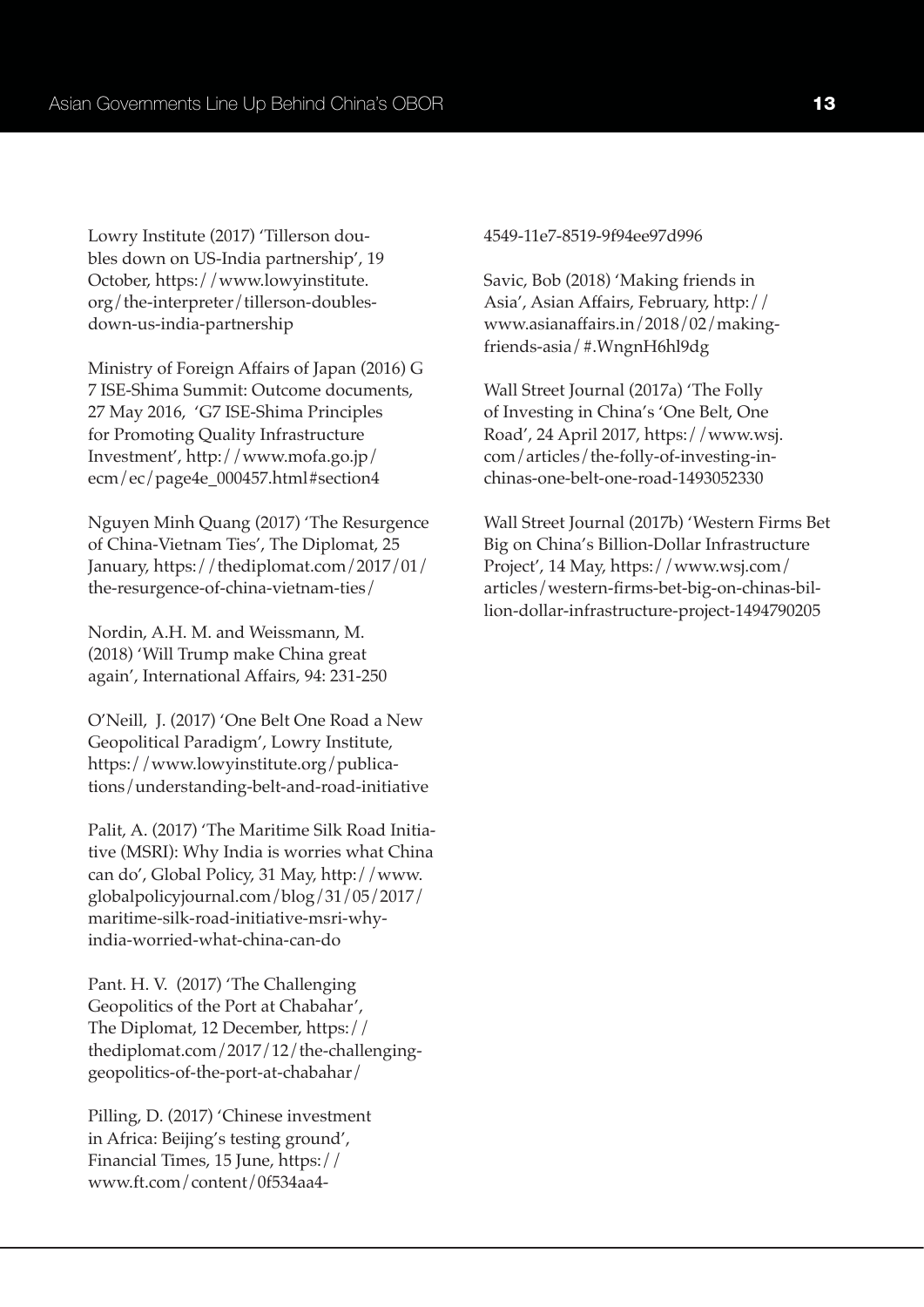Lowry Institute (2017) 'Tillerson doubles down on US-India partnership', 19 October, https://www.lowyinstitute. org/the-interpreter/tillerson-doublesdown-us-india-partnership

Ministry of Foreign Affairs of Japan (2016) G 7 ISE-Shima Summit: Outcome documents, 27 May 2016, 'G7 ISE-Shima Principles for Promoting Quality Infrastructure Investment', http://www.mofa.go.jp/ ecm/ec/page4e\_000457.html#section4

Nguyen Minh Quang (2017) 'The Resurgence of China-Vietnam Ties', The Diplomat, 25 January, https://thediplomat.com/2017/01/ the-resurgence-of-china-vietnam-ties/

Nordin, A.H. M. and Weissmann, M. (2018) 'Will Trump make China great again', International Affairs, 94: 231-250

O'Neill, J. (2017) 'One Belt One Road a New Geopolitical Paradigm', Lowry Institute, https://www.lowyinstitute.org/publications/understanding-belt-and-road-initiative

Palit, A. (2017) 'The Maritime Silk Road Initiative (MSRI): Why India is worries what China can do', Global Policy, 31 May, http://www. globalpolicyjournal.com/blog/31/05/2017/ maritime-silk-road-initiative-msri-whyindia-worried-what-china-can-do

Pant. H. V. (2017) 'The Challenging Geopolitics of the Port at Chabahar', The Diplomat, 12 December, https:// thediplomat.com/2017/12/the-challenginggeopolitics-of-the-port-at-chabahar/

Pilling, D. (2017) 'Chinese investment in Africa: Beijing's testing ground', Financial Times, 15 June, https:// www.ft.com/content/0f534aa44549-11e7-8519-9f94ee97d996

Savic, Bob (2018) 'Making friends in Asia', Asian Affairs, February, http:// www.asianaffairs.in/2018/02/makingfriends-asia/#.WngnH6hl9dg

Wall Street Journal (2017a) 'The Folly of Investing in China's 'One Belt, One Road', 24 April 2017, https://www.wsj. com/articles/the-folly-of-investing-inchinas-one-belt-one-road-1493052330

Wall Street Journal (2017b) 'Western Firms Bet Big on China's Billion-Dollar Infrastructure Project', 14 May, https://www.wsj.com/ articles/western-firms-bet-big-on-chinas-billion-dollar-infrastructure-project-1494790205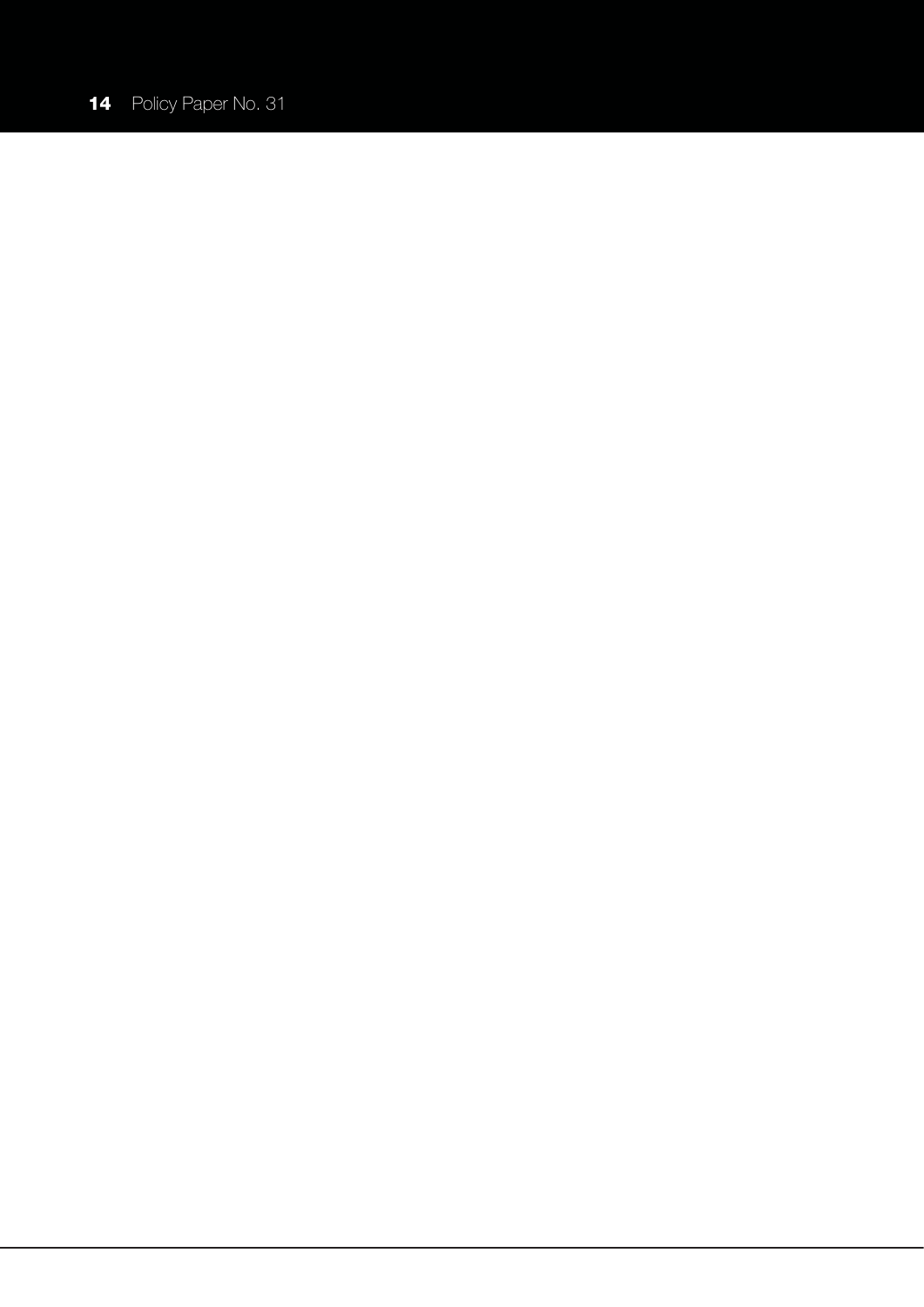### 14 Policy Paper No. 31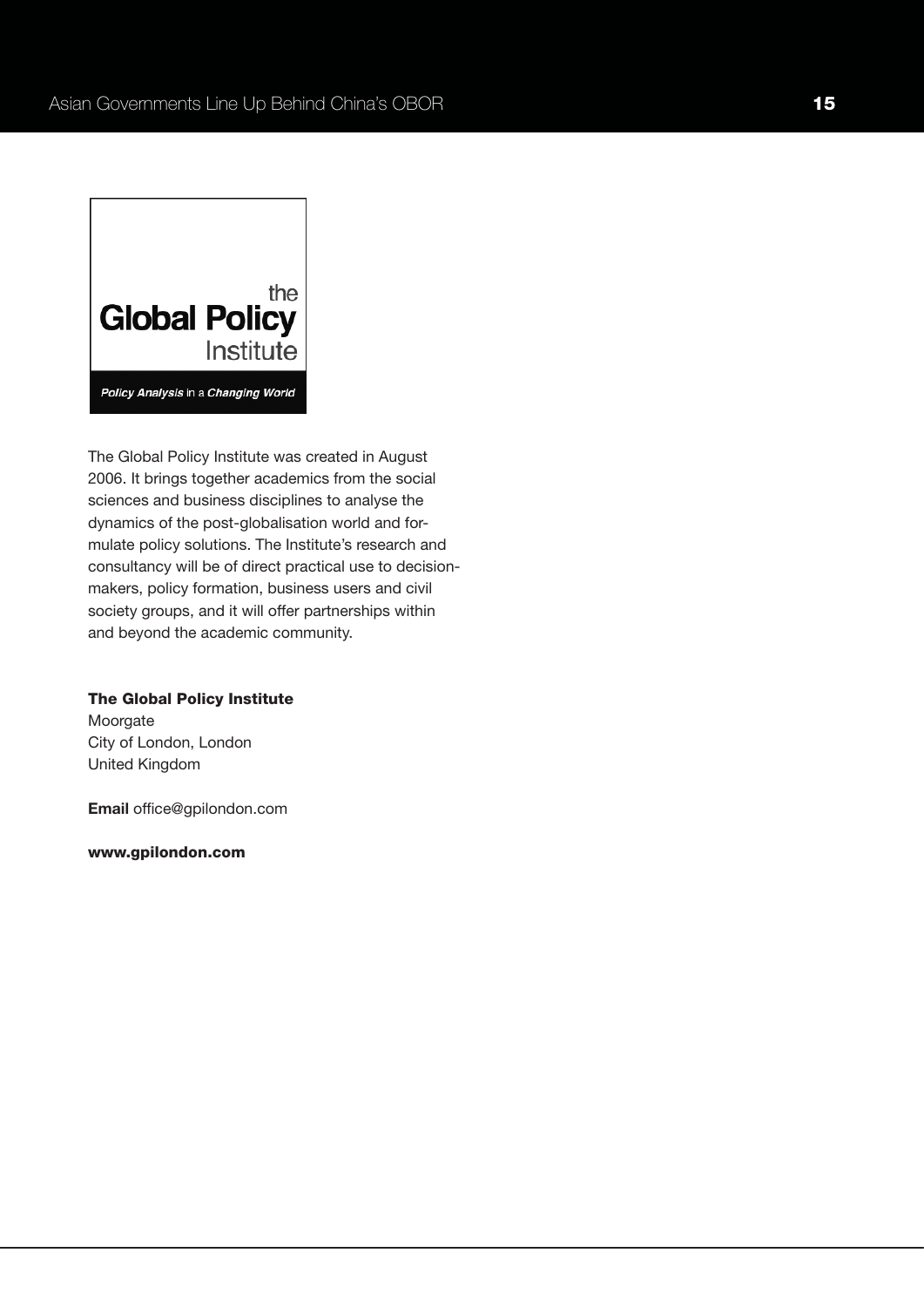

The Global Policy Institute was created in August 2006. It brings together academics from the social sciences and business disciplines to analyse the dynamics of the post-globalisation world and formulate policy solutions. The Institute's research and consultancy will be of direct practical use to decisionmakers, policy formation, business users and civil society groups, and it will offer partnerships within and beyond the academic community.

#### The Global Policy Institute

Moorgate City of London, London United Kingdom

Email office@gpilondon.com

www.gpilondon.com